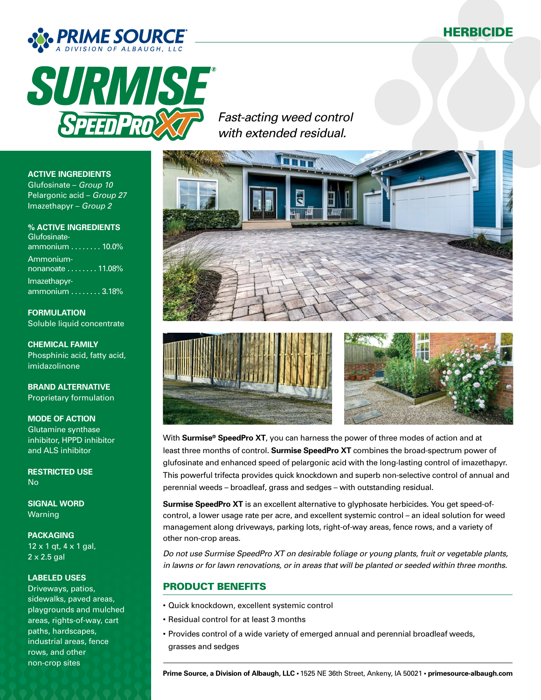



*Fast-acting weed control with extended residual.*







With **Surmise® SpeedPro XT**, you can harness the power of three modes of action and at least three months of control. **Surmise SpeedPro XT** combines the broad-spectrum power of glufosinate and enhanced speed of pelargonic acid with the long-lasting control of imazethapyr. This powerful trifecta provides quick knockdown and superb non-selective control of annual and perennial weeds – broadleaf, grass and sedges – with outstanding residual.

**Surmise SpeedPro XT** is an excellent alternative to glyphosate herbicides. You get speed-ofcontrol, a lower usage rate per acre, and excellent systemic control – an ideal solution for weed management along driveways, parking lots, right-of-way areas, fence rows, and a variety of other non-crop areas.

*Do not use Surmise SpeedPro XT on desirable foliage or young plants, fruit or vegetable plants, in lawns or for lawn renovations, or in areas that will be planted or seeded within three months.*

## PRODUCT BENEFITS

- Quick knockdown, excellent systemic control
- Residual control for at least 3 months
- Provides control of a wide variety of emerged annual and perennial broadleaf weeds, grasses and sedges

### **ACTIVE INGREDIENTS**

Glufosinate – *Group 10* Pelargonic acid – *Group 27* Imazethapyr – *Group 2*

**% ACTIVE INGREDIENTS** Glufosinateammonium  $\ldots \ldots \ldots$  10.0% Ammonium $nonanoate$  . . . . . . . 11.08% Imazethapyrammonium . . . . . . . . 3.18%

**FORMULATION** Soluble liquid concentrate

**CHEMICAL FAMILY** Phosphinic acid, fatty acid, imidazolinone

**BRAND ALTERNATIVE** Proprietary formulation

**MODE OF ACTION** Glutamine synthase inhibitor, HPPD inhibitor and ALS inhibitor

**RESTRICTED USE** No

**SIGNAL WORD** Warning

**PACKAGING** 12 x 1 qt, 4 x 1 gal, 2 x 2.5 gal

#### **LABELED USES**

Driveways, patios, sidewalks, paved areas, playgrounds and mulched areas, rights-of-way, cart paths, hardscapes, industrial areas, fence rows, and other non-crop sites